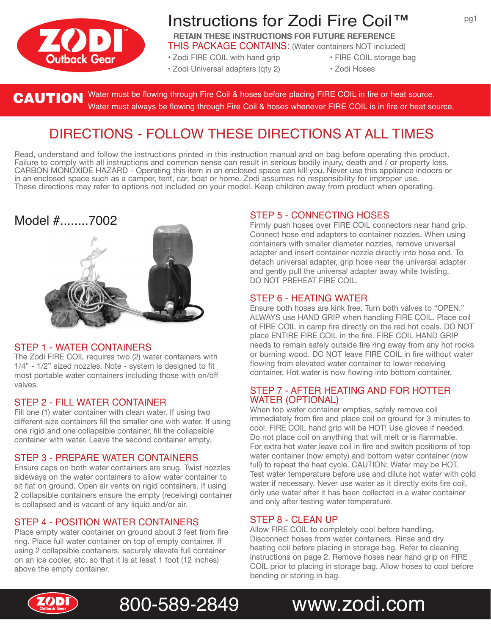

# Instructions for Zodi Fire Coil™

**RETAIN THESE INSTRUCTIONS FOR FUTURE REFERENCE** THIS PACKAGE CONTAINS: (Water containers NOT included)

- Zodi FIRE COIL with hand grip FIRE COIL storage bag
- Zodi Universal adapters (qty 2) Zodi Hoses
- -

Water must be flowing through Fire Coil & hoses before placing FIRE COIL in fire or heat source. **CAUTION** Water must be flowing through Fire Coil & hoses before placing FIRE COIL in fire or heat source.<br>Water must always be flowing through Fire Coil & hoses whenever FIRE COIL is in fire or heat source.

## DIRECTIONS - FOLLOW THESE DIRECTIONS AT ALL TIMES

Read, understand and follow the instructions printed in this instruction manual and on bag before operating this product. Failure to comply with all instructions and common sense can result in serious bodily injury, death and / or property loss. CARBON MONOXIDE HAZARD - Operating this item in an enclosed space can kill you. Never use this appliance indoors or in an enclosed space such as a camper, tent, car, boat or home. Zodi assumes no responsibility for improper use. These directions may refer to options not included on your model. Keep children away from product when operating.

## Model #........7002



### STEP 1 - WATER CONTAINERS

The Zodi FIRE COIL requires two (2) water containers with 1/4" - 1/2" sized nozzles. Note - system is designed to fit most portable water containers including those with on/off valves.

### STEP 2 - FILL WATER CONTAINER

Fill one (1) water container with clean water. If using two different size containers fill the smaller one with water. If using one rigid and one collapsible container, fill the collapsible container with water. Leave the second container empty.

### STEP 3 - PREPARE WATER CONTAINERS

Ensure caps on both water containers are snug. Twist nozzles sideways on the water containers to allow water container to sit flat on ground. Open air vents on rigid containers. If using 2 collapsible containers ensure the empty (receiving) container is collapsed and is vacant of any liquid and/or air.

### STEP 4 - POSITION WATER CONTAINERS

Place empty water container on ground about 3 feet from fire ring. Place full water container on top of empty container. If using 2 collapsible containers, securely elevate full container on an ice cooler, etc. so that it is at least 1 foot (12 inches) above the empty container.

## STEP 5 - CONNECTING HOSES

Firmly push hoses over FIRE COIL connectors near hand grip. Connect hose end adapters to container nozzles. When using containers with smaller diameter nozzles, remove universal adapter and insert container nozzle directly into hose end. To detach universal adapter, grip hose near the universal adapter and gently pull the universal adapter away while twisting. DO NOT PREHEAT FIRE COIL.

### STEP 6 - HEATING WATER

Ensure both hoses are kink free. Turn both valves to "OPEN." ALWAYS use HAND GRIP when handling FIRE COIL. Place coil of FIRE COIL in camp fire directly on the red hot coals. DO NOT place ENTIRE FIRE COIL in the fire. FIRE COIL HAND GRIP needs to remain safely outside fire ring away from any hot rocks or burning wood. DO NOT leave FIRE COIL in fire without water flowing from elevated water container to lower receiving container. Hot water is now flowing into bottom container.

#### STEP 7 - AFTER HEATING AND FOR HOTTER WATER (OPTIONAL)

When top water container empties, safely remove coil immediately from fire and place coil on ground for 3 minutes to cool. FIRE COIL hand grip will be HOT! Use gloves if needed. Do not place coil on anything that will melt or is flammable. For extra hot water leave coil in fire and switch positions of top water container (now empty) and bottom water container (now full) to repeat the heat cycle. CAUTION: Water may be HOT. Test water temperature before use and dilute hot water with cold water if necessary. Never use water as it directly exits fire coil, only use water after it has been collected in a water container and only after testing water temperature.

### STEP 8 - CLEAN UP

Allow FIRE COIL to completely cool before handling. Disconnect hoses from water containers. Rinse and dry heating coil before placing in storage bag. Refer to cleaning instructions on page 2. Remove hoses near hand grip on FIRE COIL prior to placing in storage bag. Allow hoses to cool before bending or storing in bag.





800-589-2849 www.zodi.com